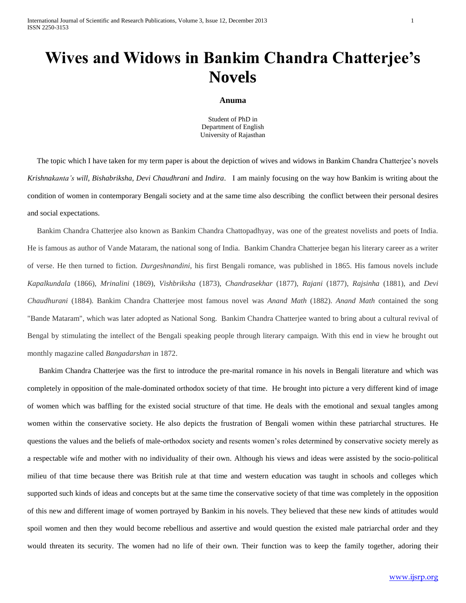# **Wives and Widows in Bankim Chandra Chatterjee's Novels**

#### **Anuma**

Student of PhD in Department of English University of Rajasthan

 The topic which I have taken for my term paper is about the depiction of wives and widows in Bankim Chandra Chatterjee's novels *Krishnakanta's will, Bishabriksha, Devi Chaudhrani* and *Indira*. I am mainly focusing on the way how Bankim is writing about the condition of women in contemporary Bengali society and at the same time also describing the conflict between their personal desires and social expectations.

 Bankim Chandra Chatterjee also known as Bankim Chandra Chattopadhyay, was one of the greatest novelists and poets of India. He is famous as author of Vande Mataram, the national song of India. Bankim Chandra Chatterjee began his literary career as a writer of verse. He then turned to fiction. *Durgeshnandini,* his first Bengali romance, was published in 1865. His famous novels include *Kapalkundala* (1866), *Mrinalini* (1869), *Vishbriksha* (1873), *Chandrasekhar* (1877), *Rajani* (1877), *Rajsinha* (1881), and *Devi Chaudhurani* (1884). Bankim Chandra Chatterjee most famous novel was *Anand Math* (1882). *Anand Math* contained the song "Bande Mataram", which was later adopted as National Song. Bankim Chandra Chatterjee wanted to bring about a cultural revival of Bengal by stimulating the intellect of the Bengali speaking people through literary campaign. With this end in view he brought out monthly magazine called *Bangadarshan* in 1872.

 Bankim Chandra Chatterjee was the first to introduce the pre-marital romance in his novels in Bengali literature and which was completely in opposition of the male-dominated orthodox society of that time. He brought into picture a very different kind of image of women which was baffling for the existed social structure of that time. He deals with the emotional and sexual tangles among women within the conservative society. He also depicts the frustration of Bengali women within these patriarchal structures. He questions the values and the beliefs of male-orthodox society and resents women's roles determined by conservative society merely as a respectable wife and mother with no individuality of their own. Although his views and ideas were assisted by the socio-political milieu of that time because there was British rule at that time and western education was taught in schools and colleges which supported such kinds of ideas and concepts but at the same time the conservative society of that time was completely in the opposition of this new and different image of women portrayed by Bankim in his novels. They believed that these new kinds of attitudes would spoil women and then they would become rebellious and assertive and would question the existed male patriarchal order and they would threaten its security. The women had no life of their own. Their function was to keep the family together, adoring their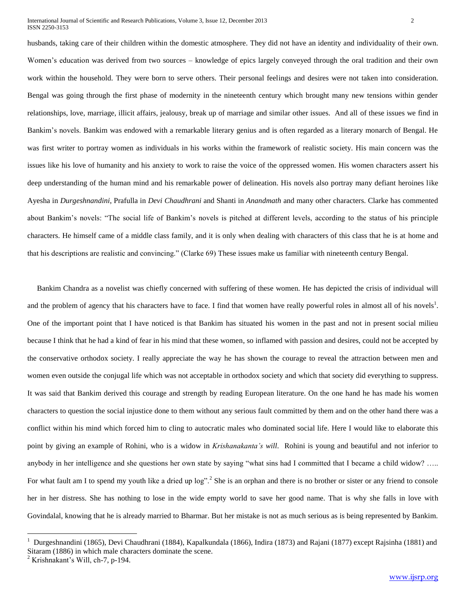husbands, taking care of their children within the domestic atmosphere. They did not have an identity and individuality of their own. Women's education was derived from two sources – knowledge of epics largely conveyed through the oral tradition and their own work within the household. They were born to serve others. Their personal feelings and desires were not taken into consideration. Bengal was going through the first phase of modernity in the nineteenth century which brought many new tensions within gender relationships, love, marriage, illicit affairs, jealousy, break up of marriage and similar other issues. And all of these issues we find in Bankim's novels. Bankim was endowed with a remarkable literary genius and is often regarded as a literary monarch of Bengal. He was first writer to portray women as individuals in his works within the framework of realistic society. His main concern was the issues like his love of humanity and his anxiety to work to raise the voice of the oppressed women. His women characters assert his deep understanding of the human mind and his remarkable power of delineation. His novels also portray many defiant heroines like Ayesha in *Durgeshnandini*, Prafulla in *Devi Chaudhrani* and Shanti in *Anandmath* and many other characters. Clarke has commented about Bankim's novels: "The social life of Bankim's novels is pitched at different levels, according to the status of his principle characters. He himself came of a middle class family, and it is only when dealing with characters of this class that he is at home and that his descriptions are realistic and convincing." (Clarke 69) These issues make us familiar with nineteenth century Bengal.

 Bankim Chandra as a novelist was chiefly concerned with suffering of these women. He has depicted the crisis of individual will and the problem of agency that his characters have to face. I find that women have really powerful roles in almost all of his novels<sup>1</sup>. One of the important point that I have noticed is that Bankim has situated his women in the past and not in present social milieu because I think that he had a kind of fear in his mind that these women, so inflamed with passion and desires, could not be accepted by the conservative orthodox society. I really appreciate the way he has shown the courage to reveal the attraction between men and women even outside the conjugal life which was not acceptable in orthodox society and which that society did everything to suppress. It was said that Bankim derived this courage and strength by reading European literature. On the one hand he has made his women characters to question the social injustice done to them without any serious fault committed by them and on the other hand there was a conflict within his mind which forced him to cling to autocratic males who dominated social life. Here I would like to elaborate this point by giving an example of Rohini, who is a widow in *Krishanakanta's will*. Rohini is young and beautiful and not inferior to anybody in her intelligence and she questions her own state by saying "what sins had I committed that I became a child widow? ….. For what fault am I to spend my youth like a dried up  $log$ ".<sup>2</sup> She is an orphan and there is no brother or sister or any friend to console her in her distress. She has nothing to lose in the wide empty world to save her good name. That is why she falls in love with Govindalal, knowing that he is already married to Bharmar. But her mistake is not as much serious as is being represented by Bankim.

 $\overline{a}$ 

<sup>1</sup> Durgeshnandini (1865), Devi Chaudhrani (1884), Kapalkundala (1866), Indira (1873) and Rajani (1877) except Rajsinha (1881) and Sitaram (1886) in which male characters dominate the scene.

 $2$  Krishnakant's Will, ch-7, p-194.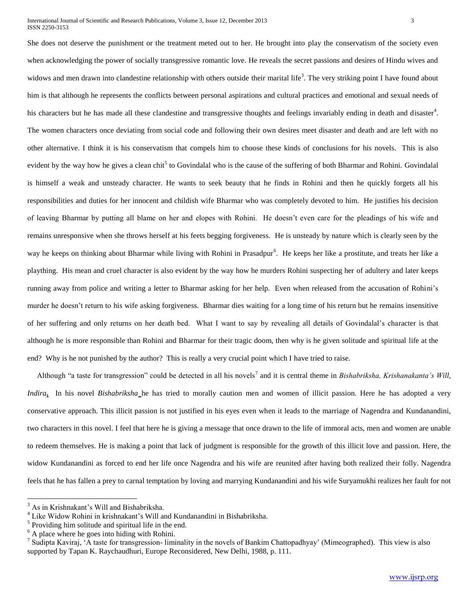She does not deserve the punishment or the treatment meted out to her. He brought into play the conservatism of the society even when acknowledging the power of socially transgressive romantic love. He reveals the secret passions and desires of Hindu wives and widows and men drawn into clandestine relationship with others outside their marital life<sup>3</sup>. The very striking point I have found about him is that although he represents the conflicts between personal aspirations and cultural practices and emotional and sexual needs of his characters but he has made all these clandestine and transgressive thoughts and feelings invariably ending in death and disaster<sup>4</sup>. The women characters once deviating from social code and following their own desires meet disaster and death and are left with no other alternative. I think it is his conservatism that compels him to choose these kinds of conclusions for his novels. This is also evident by the way how he gives a clean chit<sup>5</sup> to Govindalal who is the cause of the suffering of both Bharmar and Rohini. Govindalal is himself a weak and unsteady character. He wants to seek beauty that he finds in Rohini and then he quickly forgets all his responsibilities and duties for her innocent and childish wife Bharmar who was completely devoted to him. He justifies his decision of leaving Bharmar by putting all blame on her and elopes with Rohini. He doesn't even care for the pleadings of his wife and remains unresponsive when she throws herself at his feets begging forgiveness. He is unsteady by nature which is clearly seen by the way he keeps on thinking about Bharmar while living with Rohini in Prasadpur<sup>6</sup>. He keeps her like a prostitute, and treats her like a plaything. His mean and cruel character is also evident by the way how he murders Rohini suspecting her of adultery and later keeps running away from police and writing a letter to Bharmar asking for her help. Even when released from the accusation of Rohini's murder he doesn't return to his wife asking forgiveness. Bharmar dies waiting for a long time of his return but he remains insensitive of her suffering and only returns on her death bed. What I want to say by revealing all details of Govindalal's character is that although he is more responsible than Rohini and Bharmar for their tragic doom, then why is he given solitude and spiritual life at the end? Why is he not punished by the author? This is really a very crucial point which I have tried to raise.

Although "a taste for transgression" could be detected in all his novels<sup>7</sup> and it is central theme in *Bishabriksha, Krishanakanta's Will*, *Indira***.** In his novel *Bishabriksha* he has tried to morally caution men and women of illicit passion. Here he has adopted a very conservative approach. This illicit passion is not justified in his eyes even when it leads to the marriage of Nagendra and Kundanandini, two characters in this novel. I feel that here he is giving a message that once drawn to the life of immoral acts, men and women are unable to redeem themselves. He is making a point that lack of judgment is responsible for the growth of this illicit love and passion. Here, the widow Kundanandini as forced to end her life once Nagendra and his wife are reunited after having both realized their folly. Nagendra feels that he has fallen a prey to carnal temptation by loving and marrying Kundanandini and his wife Suryamukhi realizes her fault for not

 $\overline{a}$ 

<sup>&</sup>lt;sup>3</sup> As in Krishnakant's Will and Bishabriksha.

<sup>4</sup> Like Widow Rohini in krishnakant's Will and Kundanandini in Bishabriksha.

 $<sup>5</sup>$  Providing him solitude and spiritual life in the end.</sup>

<sup>&</sup>lt;sup>6</sup> A place where he goes into hiding with Rohini.

<sup>&</sup>lt;sup>7</sup> Sudipta Kaviraj, 'A taste for transgression- liminality in the novels of Bankim Chattopadhyay' (Mimeographed). This view is also supported by Tapan K. Raychaudhuri, Europe Reconsidered, New Delhi, 1988, p. 111.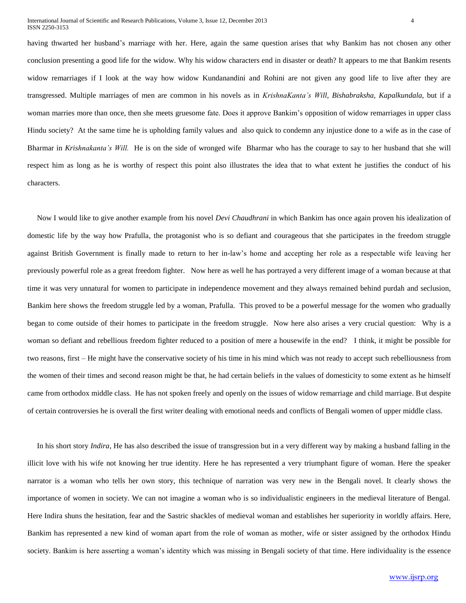having thwarted her husband's marriage with her. Here, again the same question arises that why Bankim has not chosen any other conclusion presenting a good life for the widow. Why his widow characters end in disaster or death? It appears to me that Bankim resents widow remarriages if I look at the way how widow Kundanandini and Rohini are not given any good life to live after they are transgressed. Multiple marriages of men are common in his novels as in *KrishnaKanta's Will, Bishabraksha, Kapalkundala,* but if a woman marries more than once, then she meets gruesome fate. Does it approve Bankim's opposition of widow remarriages in upper class Hindu society? At the same time he is upholding family values and also quick to condemn any injustice done to a wife as in the case of Bharmar in *Krishnakanta's Will.* He is on the side of wronged wife Bharmar who has the courage to say to her husband that she will respect him as long as he is worthy of respect this point also illustrates the idea that to what extent he justifies the conduct of his characters.

 Now I would like to give another example from his novel *Devi Chaudhrani* in which Bankim has once again proven his idealization of domestic life by the way how Prafulla, the protagonist who is so defiant and courageous that she participates in the freedom struggle against British Government is finally made to return to her in-law's home and accepting her role as a respectable wife leaving her previously powerful role as a great freedom fighter. Now here as well he has portrayed a very different image of a woman because at that time it was very unnatural for women to participate in independence movement and they always remained behind purdah and seclusion, Bankim here shows the freedom struggle led by a woman, Prafulla. This proved to be a powerful message for the women who gradually began to come outside of their homes to participate in the freedom struggle. Now here also arises a very crucial question: Why is a woman so defiant and rebellious freedom fighter reduced to a position of mere a housewife in the end? I think, it might be possible for two reasons, first – He might have the conservative society of his time in his mind which was not ready to accept such rebelliousness from the women of their times and second reason might be that, he had certain beliefs in the values of domesticity to some extent as he himself came from orthodox middle class. He has not spoken freely and openly on the issues of widow remarriage and child marriage. But despite of certain controversies he is overall the first writer dealing with emotional needs and conflicts of Bengali women of upper middle class.

 In his short story *Indira*, He has also described the issue of transgression but in a very different way by making a husband falling in the illicit love with his wife not knowing her true identity. Here he has represented a very triumphant figure of woman. Here the speaker narrator is a woman who tells her own story, this technique of narration was very new in the Bengali novel. It clearly shows the importance of women in society. We can not imagine a woman who is so individualistic engineers in the medieval literature of Bengal. Here Indira shuns the hesitation, fear and the Sastric shackles of medieval woman and establishes her superiority in worldly affairs. Here, Bankim has represented a new kind of woman apart from the role of woman as mother, wife or sister assigned by the orthodox Hindu society. Bankim is here asserting a woman's identity which was missing in Bengali society of that time. Here individuality is the essence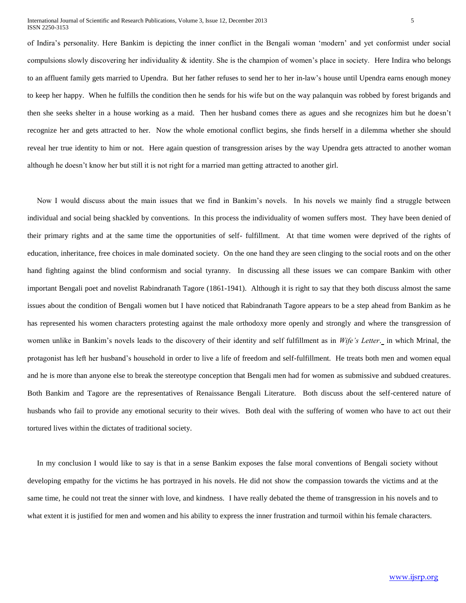of Indira's personality. Here Bankim is depicting the inner conflict in the Bengali woman 'modern' and yet conformist under social compulsions slowly discovering her individuality & identity. She is the champion of women's place in society. Here Indira who belongs to an affluent family gets married to Upendra. But her father refuses to send her to her in-law's house until Upendra earns enough money to keep her happy. When he fulfills the condition then he sends for his wife but on the way palanquin was robbed by forest brigands and then she seeks shelter in a house working as a maid. Then her husband comes there as agues and she recognizes him but he doesn't recognize her and gets attracted to her. Now the whole emotional conflict begins, she finds herself in a dilemma whether she should reveal her true identity to him or not. Here again question of transgression arises by the way Upendra gets attracted to another woman although he doesn't know her but still it is not right for a married man getting attracted to another girl.

 Now I would discuss about the main issues that we find in Bankim's novels. In his novels we mainly find a struggle between individual and social being shackled by conventions. In this process the individuality of women suffers most. They have been denied of their primary rights and at the same time the opportunities of self- fulfillment. At that time women were deprived of the rights of education, inheritance, free choices in male dominated society. On the one hand they are seen clinging to the social roots and on the other hand fighting against the blind conformism and social tyranny. In discussing all these issues we can compare Bankim with other important Bengali poet and novelist Rabindranath Tagore (1861-1941). Although it is right to say that they both discuss almost the same issues about the condition of Bengali women but I have noticed that Rabindranath Tagore appears to be a step ahead from Bankim as he has represented his women characters protesting against the male orthodoxy more openly and strongly and where the transgression of women unlike in Bankim's novels leads to the discovery of their identity and self fulfillment as in *Wife's Letter*. in which Mrinal, the protagonist has left her husband's household in order to live a life of freedom and self-fulfillment. He treats both men and women equal and he is more than anyone else to break the stereotype conception that Bengali men had for women as submissive and subdued creatures. Both Bankim and Tagore are the representatives of Renaissance Bengali Literature. Both discuss about the self-centered nature of husbands who fail to provide any emotional security to their wives. Both deal with the suffering of women who have to act out their tortured lives within the dictates of traditional society.

 In my conclusion I would like to say is that in a sense Bankim exposes the false moral conventions of Bengali society without developing empathy for the victims he has portrayed in his novels. He did not show the compassion towards the victims and at the same time, he could not treat the sinner with love, and kindness. I have really debated the theme of transgression in his novels and to what extent it is justified for men and women and his ability to express the inner frustration and turmoil within his female characters.